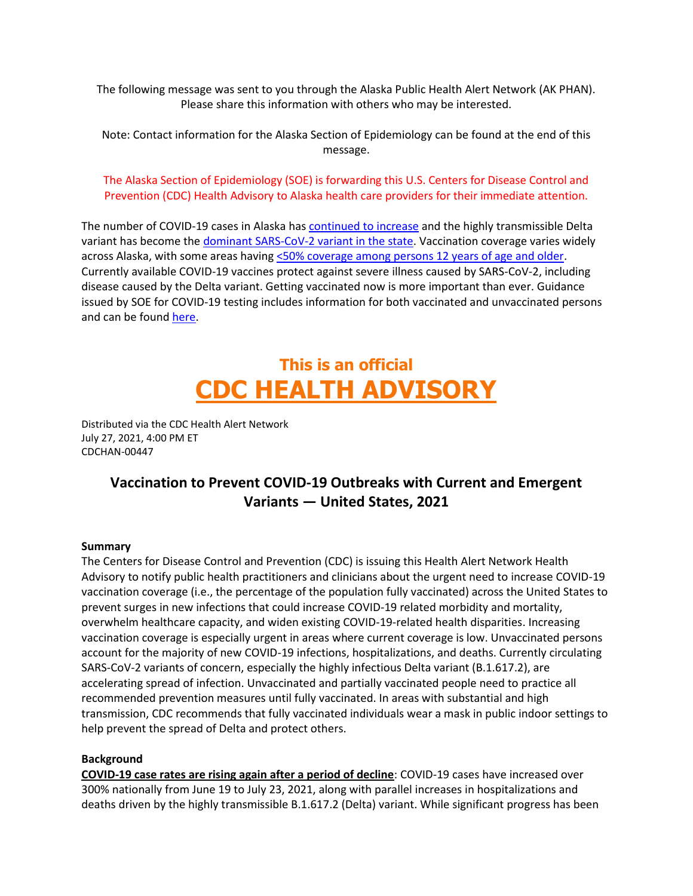The following message was sent to you through the Alaska Public Health Alert Network (AK PHAN). Please share this information with others who may be interested.

Note: Contact information for the Alaska Section of Epidemiology can be found at the end of this message.

The Alaska Section of Epidemiology (SOE) is forwarding this U.S. Centers for Disease Control and Prevention (CDC) Health Advisory to Alaska health care providers for their immediate attention.

The number of COVID-19 cases in Alaska has [continued to increase](https://experience.arcgis.com/experience/2d19dc2b5c7e4b399ff6495a8950493d/) and the highly transmissible Delta variant has become th[e dominant SARS-CoV-2 variant in the state.](http://dhss.alaska.gov/covid19/HumanCoV/AKSeqCon_GenomicSituationReport.pdf) Vaccination coverage varies widely across Alaska, with some areas havin[g <50% coverage among persons 12 years of age and older.](https://experience.arcgis.com/experience/b2f5a105a41c4ca88024efbc2c2e868f/) Currently available COVID-19 vaccines protect against severe illness caused by SARS-CoV-2, including disease caused by the Delta variant. Getting vaccinated now is more important than ever. Guidance issued by SOE for COVID-19 testing includes information for both vaccinated and unvaccinated persons and can be found [here.](http://www.dhss.alaska.gov/dph/Epi/id/SiteAssets/Pages/HumanCoV/AKCOVIDTestingGuidance.pdf)

# **This is an official CDC HEALTH ADVISORY**

Distributed via the CDC Health Alert Network July 27, 2021, 4:00 PM ET CDCHAN-00447

## **Vaccination to Prevent COVID-19 Outbreaks with Current and Emergent Variants — United States, 2021**

#### **Summary**

The Centers for Disease Control and Prevention (CDC) is issuing this Health Alert Network Health Advisory to notify public health practitioners and clinicians about the urgent need to increase COVID-19 vaccination coverage (i.e., the percentage of the population fully vaccinated) across the United States to prevent surges in new infections that could increase COVID-19 related morbidity and mortality, overwhelm healthcare capacity, and widen existing COVID-19-related health disparities. Increasing vaccination coverage is especially urgent in areas where current coverage is low. Unvaccinated persons account for the majority of new COVID-19 infections, hospitalizations, and deaths. Currently circulating SARS-CoV-2 variants of concern, especially the highly infectious Delta variant (B.1.617.2), are accelerating spread of infection. Unvaccinated and partially vaccinated people need to practice all recommended prevention measures until fully vaccinated. In areas with substantial and high transmission, CDC recommends that fully vaccinated individuals wear a mask in public indoor settings to help prevent the spread of Delta and protect others.

## **Background**

**COVID-19 case rates are rising again after a period of decline**: COVID-19 cases have increased over 300% nationally from June 19 to July 23, 2021, along with parallel increases in hospitalizations and deaths driven by the highly transmissible B.1.617.2 (Delta) variant. While significant progress has been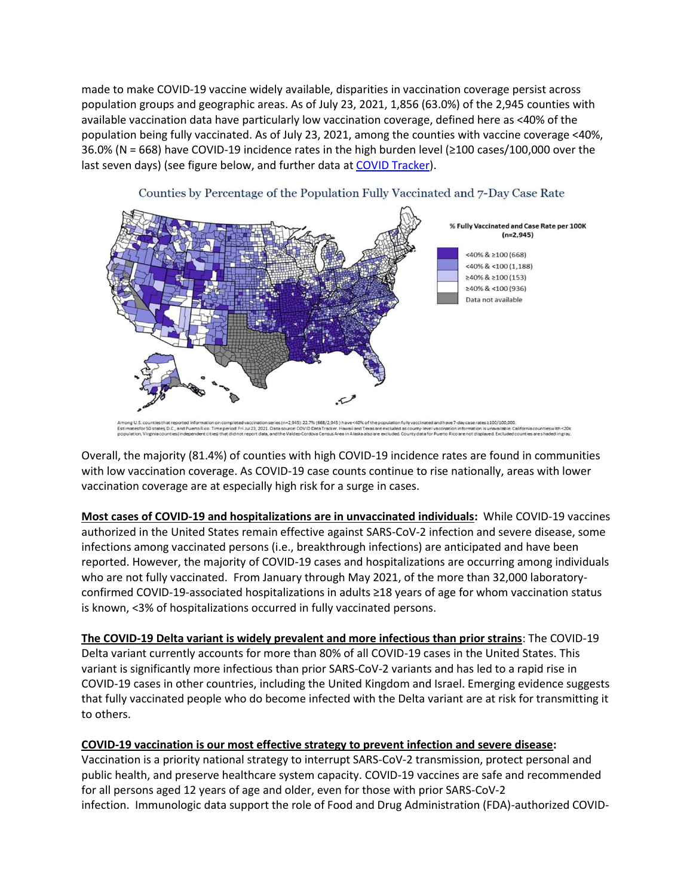made to make COVID-19 vaccine widely available, disparities in vaccination coverage persist across population groups and geographic areas. As of July 23, 2021, 1,856 (63.0%) of the 2,945 counties with available vaccination data have particularly low vaccination coverage, defined here as <40% of the population being fully vaccinated. As of July 23, 2021, among the counties with vaccine coverage <40%, 36.0% (N = 668) have COVID-19 incidence rates in the high burden level (≥100 cases/100,000 over the last seven days) (see figure below, and further data a[t COVID Tracker\)](https://urldefense.com/v3/__https:/covid.cdc.gov/covid-data-tracker/*vaccination-case-rate__;Iw!!J2_8gdp6gZQ!-Lz7qEmFn48AgZsdiwE4jSL47Oo7o4VAm4rjVONNbPVz10n2XanLPuAU-Fh6YFC_bP2LXtqX$).





Overall, the majority (81.4%) of counties with high COVID-19 incidence rates are found in communities with low vaccination coverage. As COVID-19 case counts continue to rise nationally, areas with lower vaccination coverage are at especially high risk for a surge in cases.

**Most cases of COVID-19 and hospitalizations are in unvaccinated individuals:** While COVID-19 vaccines authorized in the United States remain effective against SARS-CoV-2 infection and severe disease, some infections among vaccinated persons (i.e., breakthrough infections) are anticipated and have been reported. However, the majority of COVID-19 cases and hospitalizations are occurring among individuals who are not fully vaccinated. From January through May 2021, of the more than 32,000 laboratoryconfirmed COVID-19-associated hospitalizations in adults ≥18 years of age for whom vaccination status is known, <3% of hospitalizations occurred in fully vaccinated persons.

**The COVID-19 Delta variant is widely prevalent and more infectious than prior strains**: The COVID-19 Delta variant currently accounts for more than 80% of all COVID-19 cases in the United States. This variant is significantly more infectious than prior SARS-CoV-2 variants and has led to a rapid rise in COVID-19 cases in other countries, including the United Kingdom and Israel. Emerging evidence suggests that fully vaccinated people who do become infected with the Delta variant are at risk for transmitting it to others.

## **COVID-19 vaccination is our most effective strategy to prevent infection and severe disease:**

Vaccination is a priority national strategy to interrupt SARS-CoV-2 transmission, protect personal and public health, and preserve healthcare system capacity. COVID-19 vaccines are safe and recommended for all persons aged 12 years of age and older, even for those with prior SARS-CoV-2 infection. Immunologic data support the role of Food and Drug Administration (FDA)-authorized COVID-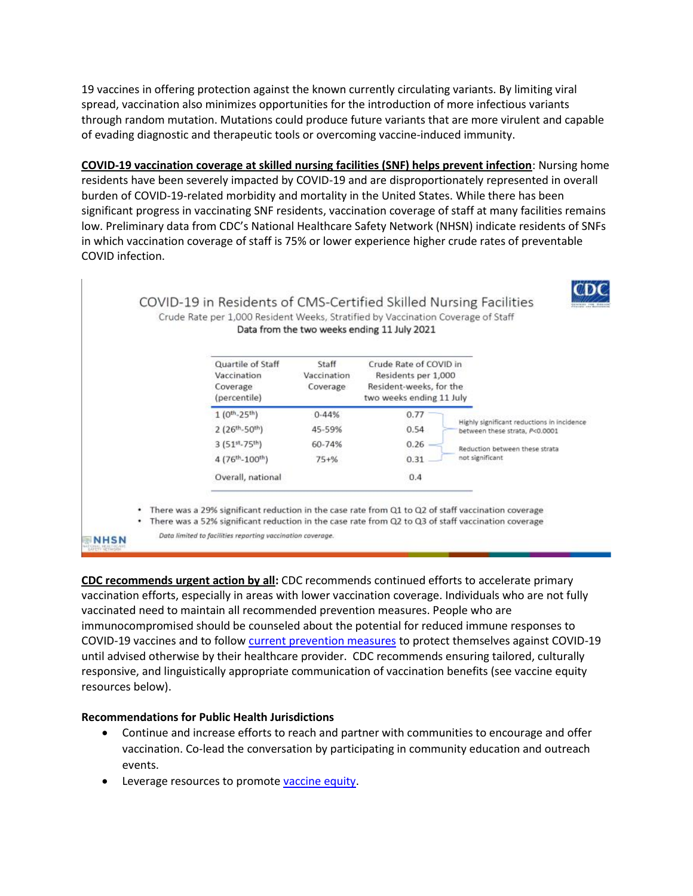19 vaccines in offering protection against the known currently circulating variants. By limiting viral spread, vaccination also minimizes opportunities for the introduction of more infectious variants through random mutation. Mutations could produce future variants that are more virulent and capable of evading diagnostic and therapeutic tools or overcoming vaccine-induced immunity.

**COVID-19 vaccination coverage at skilled nursing facilities (SNF) helps prevent infection**: Nursing home residents have been severely impacted by COVID-19 and are disproportionately represented in overall burden of COVID-19-related morbidity and mortality in the United States. While there has been significant progress in vaccinating SNF residents, vaccination coverage of staff at many facilities remains low. Preliminary data from CDC's National Healthcare Safety Network (NHSN) indicate residents of SNFs in which vaccination coverage of staff is 75% or lower experience higher crude rates of preventable COVID infection.



**CDC recommends urgent action by all:** CDC recommends continued efforts to accelerate primary vaccination efforts, especially in areas with lower vaccination coverage. Individuals who are not fully vaccinated need to maintain all recommended prevention measures. People who are immunocompromised should be counseled about the potential for reduced immune responses to COVID-19 vaccines and to follow [current prevention measures](https://urldefense.com/v3/__https:/www.cdc.gov/coronavirus/2019-ncov/prevent-getting-sick/prevention.html__;!!J2_8gdp6gZQ!-Lz7qEmFn48AgZsdiwE4jSL47Oo7o4VAm4rjVONNbPVz10n2XanLPuAU-Fh6YFC_bMd_quup$) to protect themselves against COVID-19 until advised otherwise by their healthcare provider. CDC recommends ensuring tailored, culturally responsive, and linguistically appropriate communication of vaccination benefits (see vaccine equity resources below).

## **Recommendations for Public Health Jurisdictions**

- Continue and increase efforts to reach and partner with communities to encourage and offer vaccination. Co-lead the conversation by participating in community education and outreach events.
- Leverage resources to promote [vaccine equity.](https://urldefense.com/v3/__https:/www.cdc.gov/coronavirus/2019-ncov/community/health-equity/vaccine-equity.html__;!!J2_8gdp6gZQ!-Lz7qEmFn48AgZsdiwE4jSL47Oo7o4VAm4rjVONNbPVz10n2XanLPuAU-Fh6YFC_bIrStodP$)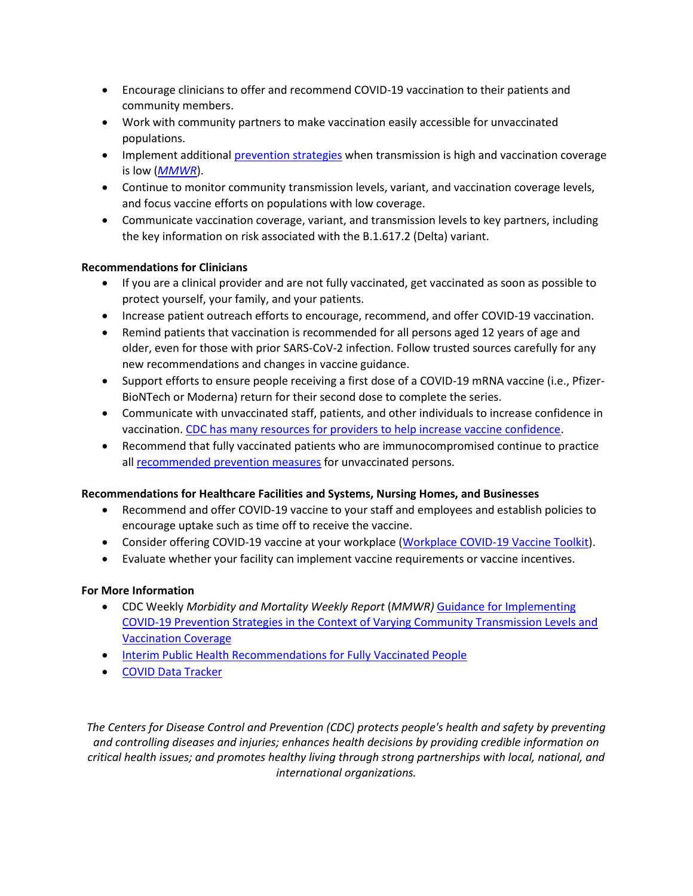- Encourage clinicians to offer and recommend COVID-19 vaccination to their patients and community members.
- Work with community partners to make vaccination easily accessible for unvaccinated populations.
- Implement additional *prevention strategies* when transmission is high and vaccination coverage is low (*[MMWR](https://urldefense.com/v3/__https:/www.cdc.gov/mmwr/volumes/70/wr/mm7030e2.htm?s_cid=mm7030e2_w__;!!J2_8gdp6gZQ!-Lz7qEmFn48AgZsdiwE4jSL47Oo7o4VAm4rjVONNbPVz10n2XanLPuAU-Fh6YFC_bNlzijzc$)*).
- Continue to monitor community transmission levels, variant, and vaccination coverage levels, and focus vaccine efforts on populations with low coverage.
- Communicate vaccination coverage, variant, and transmission levels to key partners, including the key information on risk associated with the B.1.617.2 (Delta) variant.

## **Recommendations for Clinicians**

- If you are a clinical provider and are not fully vaccinated, get vaccinated as soon as possible to protect yourself, your family, and your patients.
- Increase patient outreach efforts to encourage, recommend, and offer COVID-19 vaccination.
- Remind patients that vaccination is recommended for all persons aged 12 years of age and older, even for those with prior SARS-CoV-2 infection. Follow trusted sources carefully for any new recommendations and changes in vaccine guidance.
- Support efforts to ensure people receiving a first dose of a COVID-19 mRNA vaccine (i.e., Pfizer-BioNTech or Moderna) return for their second dose to complete the series.
- Communicate with unvaccinated staff, patients, and other individuals to increase confidence in vaccination. [CDC has many resources for providers to help increase vaccine confidence.](https://urldefense.com/v3/__https:/www.cdc.gov/vaccines/covid-19/vaccinate-with-confidence.html__;!!J2_8gdp6gZQ!-Lz7qEmFn48AgZsdiwE4jSL47Oo7o4VAm4rjVONNbPVz10n2XanLPuAU-Fh6YFC_bLb2hHHK$)
- Recommend that fully vaccinated patients who are immunocompromised continue to practice all [recommended prevention measures](https://www.cdc.gov/coronavirus/2019-ncov/prevent-getting-sick/prevention.html) for unvaccinated persons.

## **Recommendations for Healthcare Facilities and Systems, Nursing Homes, and Businesses**

- Recommend and offer COVID-19 vaccine to your staff and employees and establish policies to encourage uptake such as time off to receive the vaccine.
- Consider offering COVID-19 vaccine at your workplace [\(Workplace COVID-19 Vaccine Toolkit\)](https://urldefense.com/v3/__https:/www.cdc.gov/coronavirus/2019-ncov/vaccines/toolkits/essential-workers.html__;!!J2_8gdp6gZQ!-Lz7qEmFn48AgZsdiwE4jSL47Oo7o4VAm4rjVONNbPVz10n2XanLPuAU-Fh6YFC_bHq_ol1H$).
- Evaluate whether your facility can implement vaccine requirements or vaccine incentives.

## **For More Information**

- CDC Weekly *Morbidity and Mortality Weekly Report* (*MMWR)* [Guidance for Implementing](https://urldefense.com/v3/__https:/www.cdc.gov/mmwr/volumes/70/wr/mm7030e2.htm?s_cid=mm7030e2_w__;!!J2_8gdp6gZQ!-Lz7qEmFn48AgZsdiwE4jSL47Oo7o4VAm4rjVONNbPVz10n2XanLPuAU-Fh6YFC_bNlzijzc$)  [COVID-19 Prevention Strategies in the Context of Varying Community Transmission Levels and](https://urldefense.com/v3/__https:/www.cdc.gov/mmwr/volumes/70/wr/mm7030e2.htm?s_cid=mm7030e2_w__;!!J2_8gdp6gZQ!-Lz7qEmFn48AgZsdiwE4jSL47Oo7o4VAm4rjVONNbPVz10n2XanLPuAU-Fh6YFC_bNlzijzc$)  [Vaccination Coverage](https://urldefense.com/v3/__https:/www.cdc.gov/mmwr/volumes/70/wr/mm7030e2.htm?s_cid=mm7030e2_w__;!!J2_8gdp6gZQ!-Lz7qEmFn48AgZsdiwE4jSL47Oo7o4VAm4rjVONNbPVz10n2XanLPuAU-Fh6YFC_bNlzijzc$)
- [Interim Public Health Recommendations for Fully Vaccinated People](https://urldefense.com/v3/__https:/www.cdc.gov/coronavirus/2019-ncov/vaccines/fully-vaccinated-guidance.html__;!!J2_8gdp6gZQ!-Lz7qEmFn48AgZsdiwE4jSL47Oo7o4VAm4rjVONNbPVz10n2XanLPuAU-Fh6YFC_bBCKiwW9$)
- [COVID Data Tracker](https://urldefense.com/v3/__https:/covid.cdc.gov/covid-data-tracker/*vaccination-case-rate__;Iw!!J2_8gdp6gZQ!-Lz7qEmFn48AgZsdiwE4jSL47Oo7o4VAm4rjVONNbPVz10n2XanLPuAU-Fh6YFC_bP2LXtqX$)

*The Centers for Disease Control and Prevention (CDC) protects people's health and safety by preventing and controlling diseases and injuries; enhances health decisions by providing credible information on critical health issues; and promotes healthy living through strong partnerships with local, national, and international organizations.*